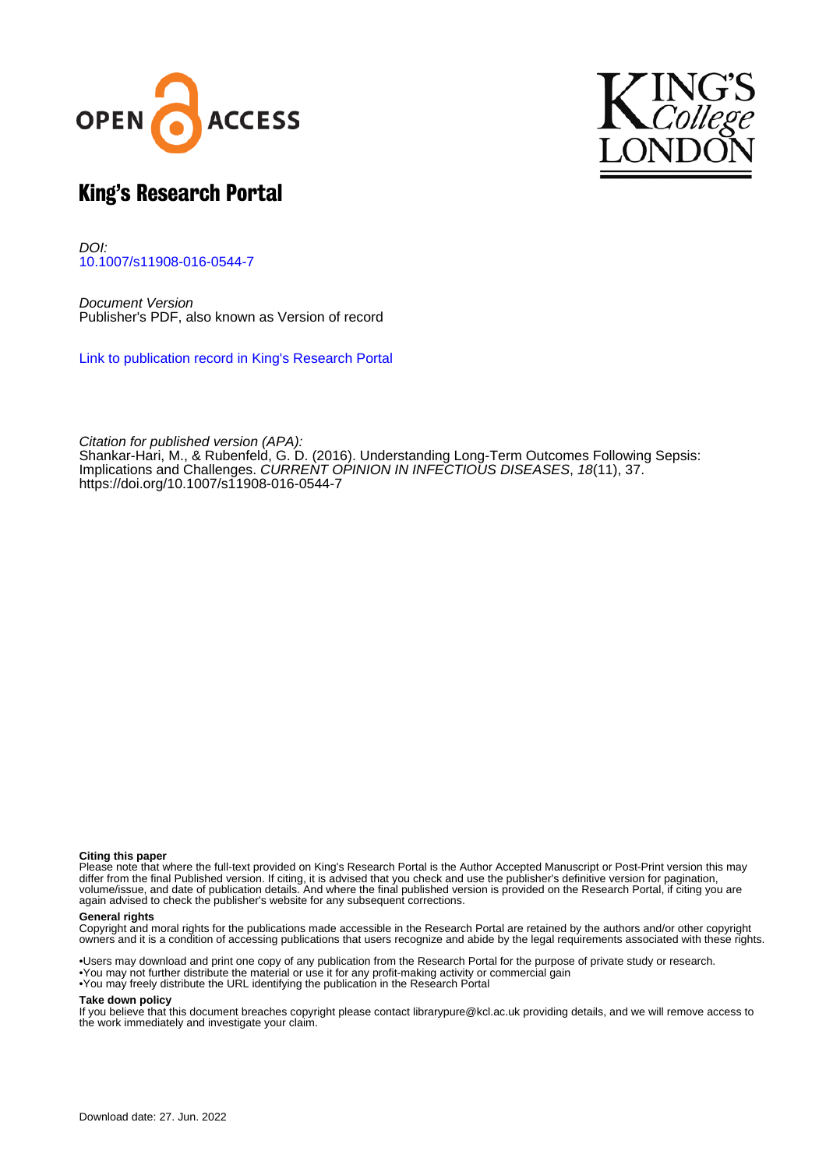



# King's Research Portal

DOI: [10.1007/s11908-016-0544-7](https://doi.org/10.1007/s11908-016-0544-7)

Document Version Publisher's PDF, also known as Version of record

[Link to publication record in King's Research Portal](https://kclpure.kcl.ac.uk/portal/en/publications/understanding-longterm-outcomes-following-sepsis(79c5383a-0e46-4d84-9b95-5204b240673b).html)

Citation for published version (APA): [Shankar-Hari, M.,](/portal/manu.shankar-hari.html) & Rubenfeld, G. D. (2016). [Understanding Long-Term Outcomes Following Sepsis:](https://kclpure.kcl.ac.uk/portal/en/publications/understanding-longterm-outcomes-following-sepsis(79c5383a-0e46-4d84-9b95-5204b240673b).html) [Implications and Challenges](https://kclpure.kcl.ac.uk/portal/en/publications/understanding-longterm-outcomes-following-sepsis(79c5383a-0e46-4d84-9b95-5204b240673b).html). [CURRENT OPINION IN INFECTIOUS DISEASES](https://kclpure.kcl.ac.uk/portal/en/journals/current-opinion-in-infectious-diseases(606973d4-34d1-41b5-a323-502f2ce21a4b).html), 18(11), 37. <https://doi.org/10.1007/s11908-016-0544-7>

#### **Citing this paper**

Please note that where the full-text provided on King's Research Portal is the Author Accepted Manuscript or Post-Print version this may differ from the final Published version. If citing, it is advised that you check and use the publisher's definitive version for pagination, volume/issue, and date of publication details. And where the final published version is provided on the Research Portal, if citing you are again advised to check the publisher's website for any subsequent corrections.

#### **General rights**

Copyright and moral rights for the publications made accessible in the Research Portal are retained by the authors and/or other copyright owners and it is a condition of accessing publications that users recognize and abide by the legal requirements associated with these rights.

•Users may download and print one copy of any publication from the Research Portal for the purpose of private study or research. •You may not further distribute the material or use it for any profit-making activity or commercial gain •You may freely distribute the URL identifying the publication in the Research Portal

#### **Take down policy**

If you believe that this document breaches copyright please contact librarypure@kcl.ac.uk providing details, and we will remove access to the work immediately and investigate your claim.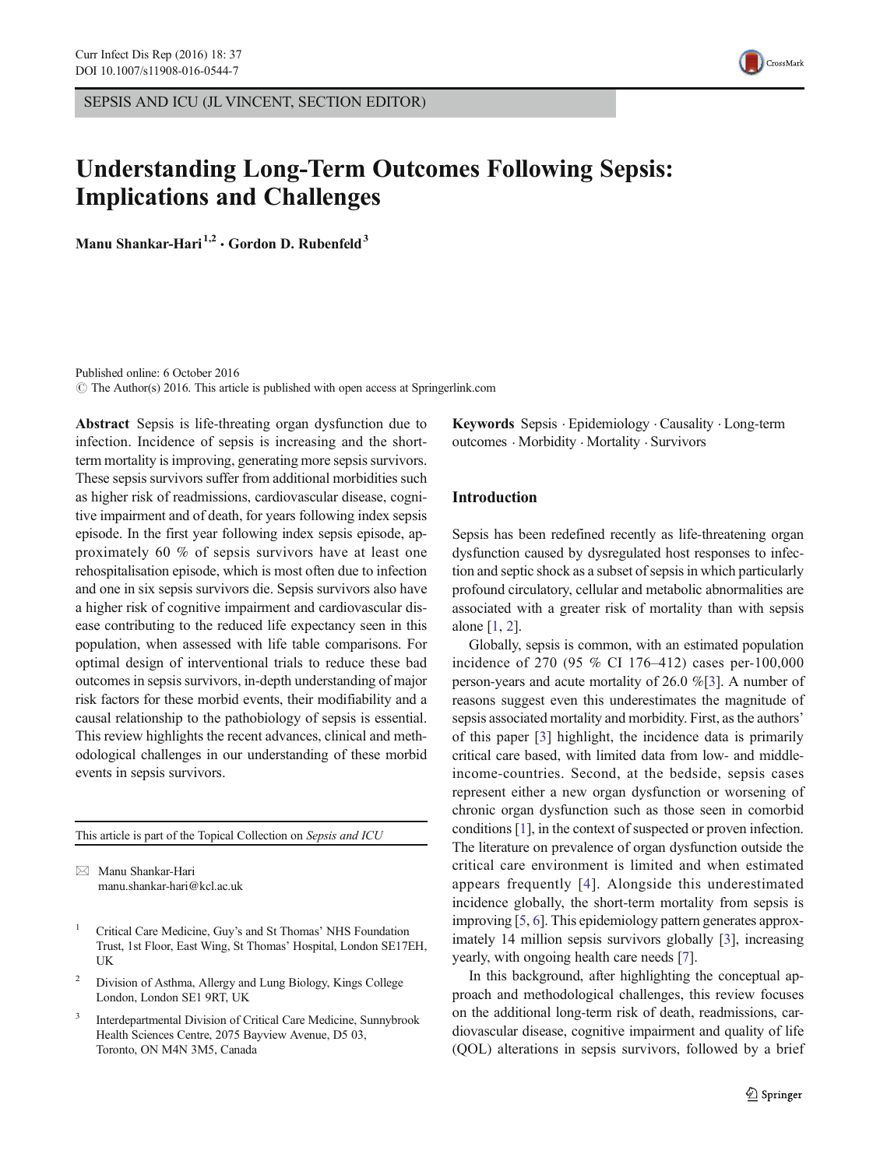SEPSIS AND ICU (JL VINCENT, SECTION EDITOR)



# Understanding Long-Term Outcomes Following Sepsis: Implications and Challenges

Manu Shankar-Hari<sup>1,2</sup>  $\cdot$  Gordon D. Rubenfeld<sup>3</sup>

Published online: 6 October 2016  $\odot$  The Author(s) 2016. This article is published with open access at Springerlink.com

Abstract Sepsis is life-threating organ dysfunction due to infection. Incidence of sepsis is increasing and the shortterm mortality is improving, generating more sepsis survivors. These sepsis survivors suffer from additional morbidities such as higher risk of readmissions, cardiovascular disease, cognitive impairment and of death, for years following index sepsis episode. In the first year following index sepsis episode, approximately 60 % of sepsis survivors have at least one rehospitalisation episode, which is most often due to infection and one in six sepsis survivors die. Sepsis survivors also have a higher risk of cognitive impairment and cardiovascular disease contributing to the reduced life expectancy seen in this population, when assessed with life table comparisons. For optimal design of interventional trials to reduce these bad outcomes in sepsis survivors, in-depth understanding of major risk factors for these morbid events, their modifiability and a causal relationship to the pathobiology of sepsis is essential. This review highlights the recent advances, clinical and methodological challenges in our understanding of these morbid events in sepsis survivors.

This article is part of the Topical Collection on Sepsis and ICU

 $\boxtimes$  Manu Shankar-Hari manu.shankar-hari@kcl.ac.uk

- <sup>1</sup> Critical Care Medicine, Guy's and St Thomas' NHS Foundation Trust, 1st Floor, East Wing, St Thomas' Hospital, London SE17EH, UK
- <sup>2</sup> Division of Asthma, Allergy and Lung Biology, Kings College London, London SE1 9RT, UK
- <sup>3</sup> Interdepartmental Division of Critical Care Medicine, Sunnybrook Health Sciences Centre, 2075 Bayview Avenue, D5 03, Toronto, ON M4N 3M5, Canada

Keywords Sepsis . Epidemiology . Causality . Long-term outcomes . Morbidity . Mortality . Survivors

# Introduction

Sepsis has been redefined recently as life-threatening organ dysfunction caused by dysregulated host responses to infection and septic shock as a subset of sepsis in which particularly profound circulatory, cellular and metabolic abnormalities are associated with a greater risk of mortality than with sepsis alone [[1,](#page-6-0) [2\]](#page-6-0).

Globally, sepsis is common, with an estimated population incidence of 270 (95 % CI 176–412) cases per-100,000 person-years and acute mortality of 26.0 %[[3\]](#page-6-0). A number of reasons suggest even this underestimates the magnitude of sepsis associated mortality and morbidity. First, as the authors' of this paper [\[3](#page-6-0)] highlight, the incidence data is primarily critical care based, with limited data from low- and middleincome-countries. Second, at the bedside, sepsis cases represent either a new organ dysfunction or worsening of chronic organ dysfunction such as those seen in comorbid conditions [[1\]](#page-6-0), in the context of suspected or proven infection. The literature on prevalence of organ dysfunction outside the critical care environment is limited and when estimated appears frequently [[4](#page-6-0)]. Alongside this underestimated incidence globally, the short-term mortality from sepsis is improving [[5](#page-6-0), [6\]](#page-6-0). This epidemiology pattern generates approximately 14 million sepsis survivors globally [\[3\]](#page-6-0), increasing yearly, with ongoing health care needs [[7\]](#page-6-0).

In this background, after highlighting the conceptual approach and methodological challenges, this review focuses on the additional long-term risk of death, readmissions, cardiovascular disease, cognitive impairment and quality of life (QOL) alterations in sepsis survivors, followed by a brief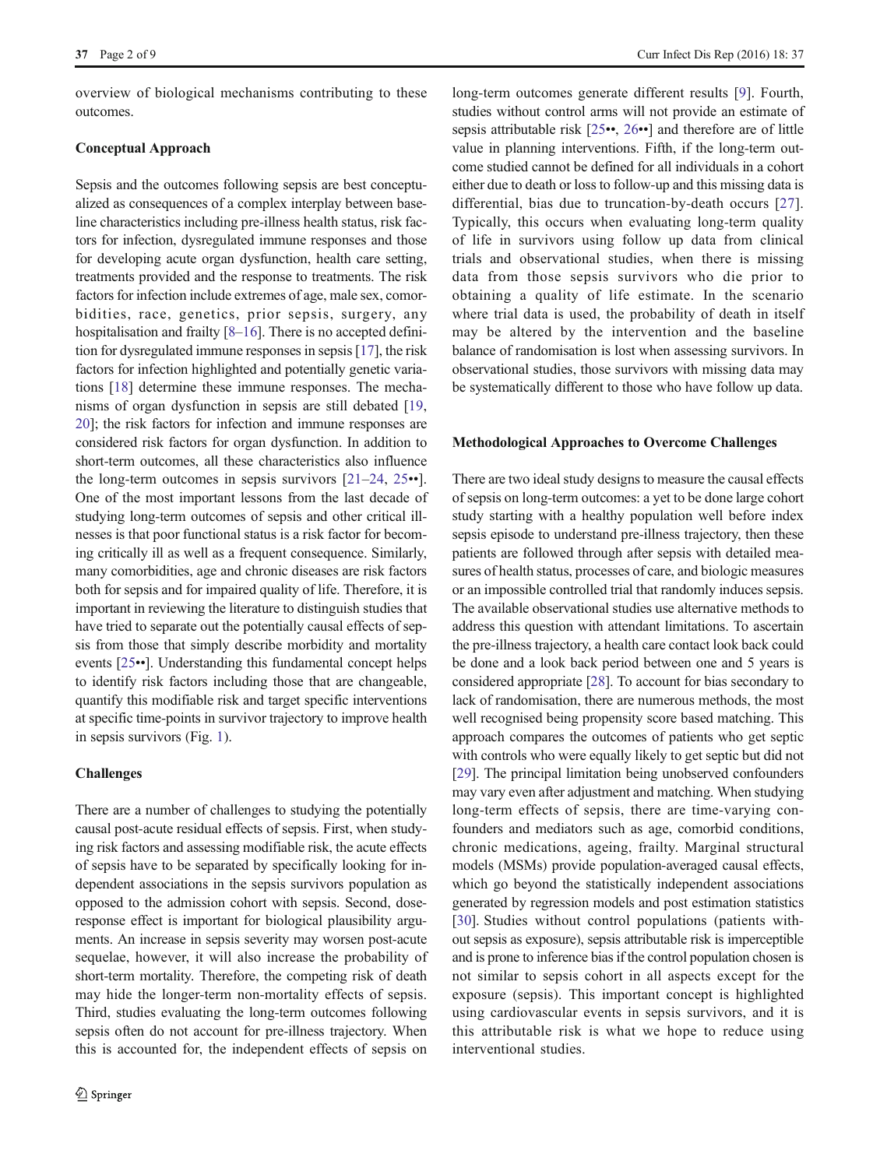overview of biological mechanisms contributing to these outcomes.

# Conceptual Approach

Sepsis and the outcomes following sepsis are best conceptualized as consequences of a complex interplay between baseline characteristics including pre-illness health status, risk factors for infection, dysregulated immune responses and those for developing acute organ dysfunction, health care setting, treatments provided and the response to treatments. The risk factors for infection include extremes of age, male sex, comorbidities, race, genetics, prior sepsis, surgery, any hospitalisation and frailty [\[8](#page-6-0)–[16](#page-6-0)]. There is no accepted definition for dysregulated immune responses in sepsis [[17](#page-6-0)], the risk factors for infection highlighted and potentially genetic variations [\[18\]](#page-6-0) determine these immune responses. The mechanisms of organ dysfunction in sepsis are still debated [[19,](#page-6-0) [20\]](#page-7-0); the risk factors for infection and immune responses are considered risk factors for organ dysfunction. In addition to short-term outcomes, all these characteristics also influence the long-term outcomes in sepsis survivors  $[21-24, 25 \cdot \cdot]$  $[21-24, 25 \cdot \cdot]$  $[21-24, 25 \cdot \cdot]$  $[21-24, 25 \cdot \cdot]$  $[21-24, 25 \cdot \cdot]$  $[21-24, 25 \cdot \cdot]$  $[21-24, 25 \cdot \cdot]$ . One of the most important lessons from the last decade of studying long-term outcomes of sepsis and other critical illnesses is that poor functional status is a risk factor for becoming critically ill as well as a frequent consequence. Similarly, many comorbidities, age and chronic diseases are risk factors both for sepsis and for impaired quality of life. Therefore, it is important in reviewing the literature to distinguish studies that have tried to separate out the potentially causal effects of sepsis from those that simply describe morbidity and mortality events [[25](#page-7-0)••]. Understanding this fundamental concept helps to identify risk factors including those that are changeable, quantify this modifiable risk and target specific interventions at specific time-points in survivor trajectory to improve health in sepsis survivors (Fig. [1\)](#page-3-0).

# Challenges

There are a number of challenges to studying the potentially causal post-acute residual effects of sepsis. First, when studying risk factors and assessing modifiable risk, the acute effects of sepsis have to be separated by specifically looking for independent associations in the sepsis survivors population as opposed to the admission cohort with sepsis. Second, doseresponse effect is important for biological plausibility arguments. An increase in sepsis severity may worsen post-acute sequelae, however, it will also increase the probability of short-term mortality. Therefore, the competing risk of death may hide the longer-term non-mortality effects of sepsis. Third, studies evaluating the long-term outcomes following sepsis often do not account for pre-illness trajectory. When this is accounted for, the independent effects of sepsis on

long-term outcomes generate different results [\[9](#page-6-0)]. Fourth, studies without control arms will not provide an estimate of sepsis attributable risk [\[25](#page-7-0)••, [26](#page-7-0)••] and therefore are of little value in planning interventions. Fifth, if the long-term outcome studied cannot be defined for all individuals in a cohort either due to death or loss to follow-up and this missing data is differential, bias due to truncation-by-death occurs [[27](#page-7-0)]. Typically, this occurs when evaluating long-term quality of life in survivors using follow up data from clinical trials and observational studies, when there is missing data from those sepsis survivors who die prior to obtaining a quality of life estimate. In the scenario where trial data is used, the probability of death in itself may be altered by the intervention and the baseline balance of randomisation is lost when assessing survivors. In observational studies, those survivors with missing data may be systematically different to those who have follow up data.

#### Methodological Approaches to Overcome Challenges

There are two ideal study designs to measure the causal effects of sepsis on long-term outcomes: a yet to be done large cohort study starting with a healthy population well before index sepsis episode to understand pre-illness trajectory, then these patients are followed through after sepsis with detailed measures of health status, processes of care, and biologic measures or an impossible controlled trial that randomly induces sepsis. The available observational studies use alternative methods to address this question with attendant limitations. To ascertain the pre-illness trajectory, a health care contact look back could be done and a look back period between one and 5 years is considered appropriate [\[28\]](#page-7-0). To account for bias secondary to lack of randomisation, there are numerous methods, the most well recognised being propensity score based matching. This approach compares the outcomes of patients who get septic with controls who were equally likely to get septic but did not [\[29](#page-7-0)]. The principal limitation being unobserved confounders may vary even after adjustment and matching. When studying long-term effects of sepsis, there are time-varying confounders and mediators such as age, comorbid conditions, chronic medications, ageing, frailty. Marginal structural models (MSMs) provide population-averaged causal effects, which go beyond the statistically independent associations generated by regression models and post estimation statistics [\[30](#page-7-0)]. Studies without control populations (patients without sepsis as exposure), sepsis attributable risk is imperceptible and is prone to inference bias if the control population chosen is not similar to sepsis cohort in all aspects except for the exposure (sepsis). This important concept is highlighted using cardiovascular events in sepsis survivors, and it is this attributable risk is what we hope to reduce using interventional studies.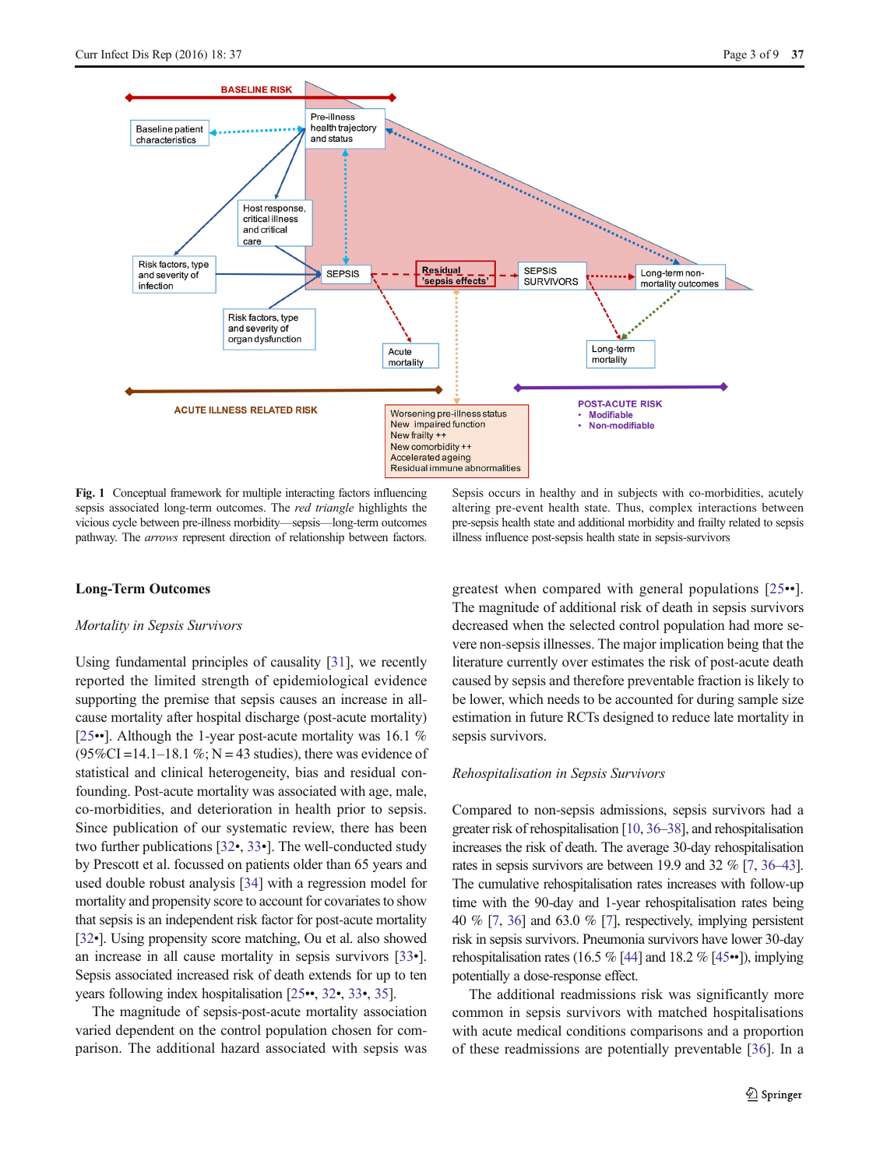<span id="page-3-0"></span>

Fig. 1 Conceptual framework for multiple interacting factors influencing sepsis associated long-term outcomes. The red triangle highlights the vicious cycle between pre-illness morbidity—sepsis—long-term outcomes pathway. The arrows represent direction of relationship between factors.

Sepsis occurs in healthy and in subjects with co-morbidities, acutely altering pre-event health state. Thus, complex interactions between pre-sepsis health state and additional morbidity and frailty related to sepsis illness influence post-sepsis health state in sepsis-survivors

#### Long-Term Outcomes

#### Mortality in Sepsis Survivors

Using fundamental principles of causality [\[31\]](#page-7-0), we recently reported the limited strength of epidemiological evidence supporting the premise that sepsis causes an increase in allcause mortality after hospital discharge (post-acute mortality) [\[25](#page-7-0)••]. Although the 1-year post-acute mortality was 16.1 %  $(95\%CI = 14.1 - 18.1\%; N = 43$  studies), there was evidence of statistical and clinical heterogeneity, bias and residual confounding. Post-acute mortality was associated with age, male, co-morbidities, and deterioration in health prior to sepsis. Since publication of our systematic review, there has been two further publications [\[32](#page-7-0)•, [33](#page-7-0)•]. The well-conducted study by Prescott et al. focussed on patients older than 65 years and used double robust analysis [\[34\]](#page-7-0) with a regression model for mortality and propensity score to account for covariates to show that sepsis is an independent risk factor for post-acute mortality [\[32](#page-7-0)•]. Using propensity score matching, Ou et al. also showed an increase in all cause mortality in sepsis survivors [\[33](#page-7-0)•]. Sepsis associated increased risk of death extends for up to ten years following index hospitalisation [\[25](#page-7-0)••, [32](#page-7-0)•, [33](#page-7-0)•, [35](#page-7-0)].

The magnitude of sepsis-post-acute mortality association varied dependent on the control population chosen for comparison. The additional hazard associated with sepsis was greatest when compared with general populations [[25](#page-7-0)••]. The magnitude of additional risk of death in sepsis survivors decreased when the selected control population had more severe non-sepsis illnesses. The major implication being that the literature currently over estimates the risk of post-acute death caused by sepsis and therefore preventable fraction is likely to be lower, which needs to be accounted for during sample size estimation in future RCTs designed to reduce late mortality in sepsis survivors.

#### Rehospitalisation in Sepsis Survivors

Compared to non-sepsis admissions, sepsis survivors had a greater risk of rehospitalisation [\[10](#page-6-0), [36](#page-7-0)–[38](#page-7-0)], and rehospitalisation increases the risk of death. The average 30-day rehospitalisation rates in sepsis survivors are between 19.9 and 32 % [[7](#page-6-0), [36](#page-7-0)–[43\]](#page-7-0). The cumulative rehospitalisation rates increases with follow-up time with the 90-day and 1-year rehospitalisation rates being 40 % [\[7,](#page-6-0) [36\]](#page-7-0) and 63.0 % [\[7\]](#page-6-0), respectively, implying persistent risk in sepsis survivors. Pneumonia survivors have lower 30-day rehospitalisation rates (16.5 % [[44\]](#page-7-0) and 18.2 % [[45](#page-7-0)••]), implying potentially a dose-response effect.

The additional readmissions risk was significantly more common in sepsis survivors with matched hospitalisations with acute medical conditions comparisons and a proportion of these readmissions are potentially preventable [[36\]](#page-7-0). In a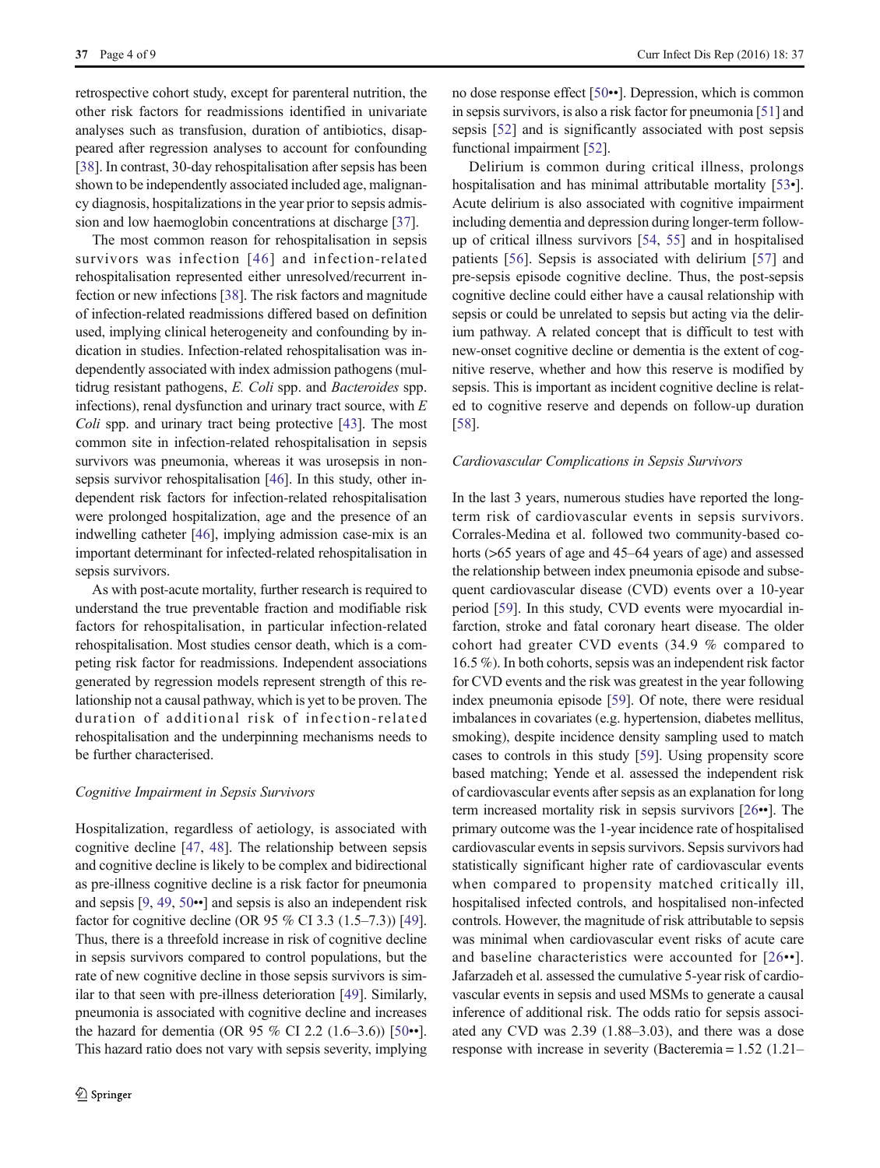retrospective cohort study, except for parenteral nutrition, the other risk factors for readmissions identified in univariate analyses such as transfusion, duration of antibiotics, disappeared after regression analyses to account for confounding [\[38\]](#page-7-0). In contrast, 30-day rehospitalisation after sepsis has been shown to be independently associated included age, malignancy diagnosis, hospitalizations in the year prior to sepsis admission and low haemoglobin concentrations at discharge [\[37](#page-7-0)].

The most common reason for rehospitalisation in sepsis survivors was infection [[46\]](#page-7-0) and infection-related rehospitalisation represented either unresolved/recurrent infection or new infections [\[38\]](#page-7-0). The risk factors and magnitude of infection-related readmissions differed based on definition used, implying clinical heterogeneity and confounding by indication in studies. Infection-related rehospitalisation was independently associated with index admission pathogens (multidrug resistant pathogens, E. Coli spp. and Bacteroides spp. infections), renal dysfunction and urinary tract source, with  $E$ Coli spp. and urinary tract being protective [\[43\]](#page-7-0). The most common site in infection-related rehospitalisation in sepsis survivors was pneumonia, whereas it was urosepsis in nonsepsis survivor rehospitalisation [\[46](#page-7-0)]. In this study, other independent risk factors for infection-related rehospitalisation were prolonged hospitalization, age and the presence of an indwelling catheter [\[46](#page-7-0)], implying admission case-mix is an important determinant for infected-related rehospitalisation in sepsis survivors.

As with post-acute mortality, further research is required to understand the true preventable fraction and modifiable risk factors for rehospitalisation, in particular infection-related rehospitalisation. Most studies censor death, which is a competing risk factor for readmissions. Independent associations generated by regression models represent strength of this relationship not a causal pathway, which is yet to be proven. The duration of additional risk of infection-related rehospitalisation and the underpinning mechanisms needs to be further characterised.

#### Cognitive Impairment in Sepsis Survivors

Hospitalization, regardless of aetiology, is associated with cognitive decline [[47,](#page-7-0) [48\]](#page-7-0). The relationship between sepsis and cognitive decline is likely to be complex and bidirectional as pre-illness cognitive decline is a risk factor for pneumonia and sepsis [\[9](#page-6-0), [49](#page-7-0), [50](#page-7-0)••] and sepsis is also an independent risk factor for cognitive decline (OR 95 % CI 3.3 (1.5–7.3)) [[49\]](#page-7-0). Thus, there is a threefold increase in risk of cognitive decline in sepsis survivors compared to control populations, but the rate of new cognitive decline in those sepsis survivors is similar to that seen with pre-illness deterioration [\[49\]](#page-7-0). Similarly, pneumonia is associated with cognitive decline and increases the hazard for dementia (OR 95 % CI 2.2 (1.6–3.6)) [\[50](#page-7-0)••]. This hazard ratio does not vary with sepsis severity, implying no dose response effect [\[50](#page-7-0)••]. Depression, which is common in sepsis survivors, is also a risk factor for pneumonia [\[51\]](#page-7-0) and sepsis [[52\]](#page-8-0) and is significantly associated with post sepsis functional impairment [\[52\]](#page-8-0).

Delirium is common during critical illness, prolongs hospitalisation and has minimal attributable mortality [\[53](#page-8-0)•]. Acute delirium is also associated with cognitive impairment including dementia and depression during longer-term followup of critical illness survivors [[54,](#page-8-0) [55\]](#page-8-0) and in hospitalised patients [[56\]](#page-8-0). Sepsis is associated with delirium [\[57\]](#page-8-0) and pre-sepsis episode cognitive decline. Thus, the post-sepsis cognitive decline could either have a causal relationship with sepsis or could be unrelated to sepsis but acting via the delirium pathway. A related concept that is difficult to test with new-onset cognitive decline or dementia is the extent of cognitive reserve, whether and how this reserve is modified by sepsis. This is important as incident cognitive decline is related to cognitive reserve and depends on follow-up duration [\[58](#page-8-0)].

#### Cardiovascular Complications in Sepsis Survivors

In the last 3 years, numerous studies have reported the longterm risk of cardiovascular events in sepsis survivors. Corrales-Medina et al. followed two community-based cohorts (>65 years of age and 45–64 years of age) and assessed the relationship between index pneumonia episode and subsequent cardiovascular disease (CVD) events over a 10-year period [\[59](#page-8-0)]. In this study, CVD events were myocardial infarction, stroke and fatal coronary heart disease. The older cohort had greater CVD events (34.9 % compared to 16.5 %). In both cohorts, sepsis was an independent risk factor for CVD events and the risk was greatest in the year following index pneumonia episode [\[59\]](#page-8-0). Of note, there were residual imbalances in covariates (e.g. hypertension, diabetes mellitus, smoking), despite incidence density sampling used to match cases to controls in this study [\[59\]](#page-8-0). Using propensity score based matching; Yende et al. assessed the independent risk of cardiovascular events after sepsis as an explanation for long term increased mortality risk in sepsis survivors [[26](#page-7-0)••]. The primary outcome was the 1-year incidence rate of hospitalised cardiovascular events in sepsis survivors. Sepsis survivors had statistically significant higher rate of cardiovascular events when compared to propensity matched critically ill, hospitalised infected controls, and hospitalised non-infected controls. However, the magnitude of risk attributable to sepsis was minimal when cardiovascular event risks of acute care and baseline characteristics were accounted for [[26](#page-7-0)••]. Jafarzadeh et al. assessed the cumulative 5-year risk of cardiovascular events in sepsis and used MSMs to generate a causal inference of additional risk. The odds ratio for sepsis associated any CVD was 2.39 (1.88–3.03), and there was a dose response with increase in severity (Bacteremia = 1.52 (1.21–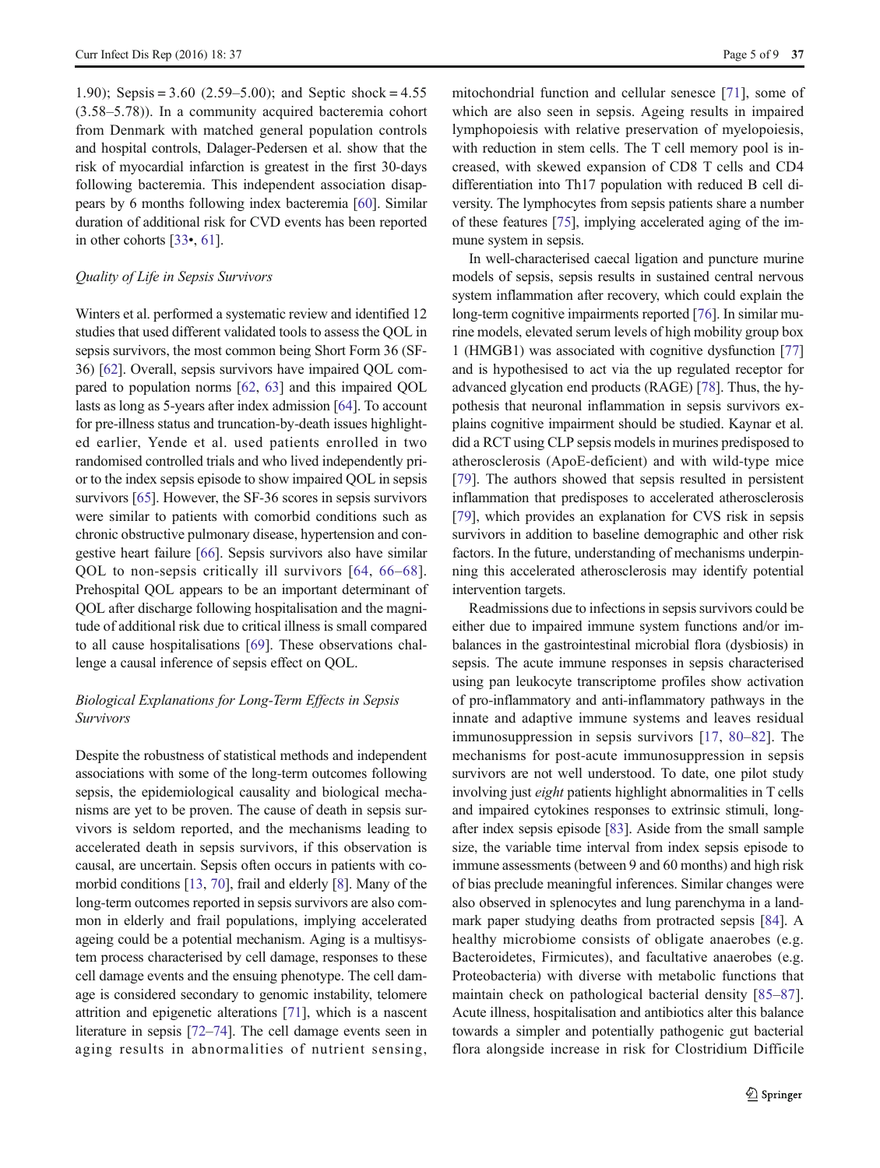1.90); Sepsis =  $3.60$  (2.59–5.00); and Septic shock =  $4.55$ (3.58–5.78)). In a community acquired bacteremia cohort from Denmark with matched general population controls and hospital controls, Dalager-Pedersen et al. show that the risk of myocardial infarction is greatest in the first 30-days following bacteremia. This independent association disappears by 6 months following index bacteremia [\[60\]](#page-8-0). Similar duration of additional risk for CVD events has been reported in other cohorts [\[33](#page-7-0)•, [61\]](#page-8-0).

#### Quality of Life in Sepsis Survivors

Winters et al. performed a systematic review and identified 12 studies that used different validated tools to assess the QOL in sepsis survivors, the most common being Short Form 36 (SF-36) [\[62\]](#page-8-0). Overall, sepsis survivors have impaired QOL compared to population norms [\[62](#page-8-0), [63](#page-8-0)] and this impaired QOL lasts as long as 5-years after index admission [\[64\]](#page-8-0). To account for pre-illness status and truncation-by-death issues highlighted earlier, Yende et al. used patients enrolled in two randomised controlled trials and who lived independently prior to the index sepsis episode to show impaired QOL in sepsis survivors [[65](#page-8-0)]. However, the SF-36 scores in sepsis survivors were similar to patients with comorbid conditions such as chronic obstructive pulmonary disease, hypertension and congestive heart failure [[66](#page-8-0)]. Sepsis survivors also have similar QOL to non-sepsis critically ill survivors [\[64,](#page-8-0) [66](#page-8-0)–[68](#page-8-0)]. Prehospital QOL appears to be an important determinant of QOL after discharge following hospitalisation and the magnitude of additional risk due to critical illness is small compared to all cause hospitalisations [[69](#page-8-0)]. These observations challenge a causal inference of sepsis effect on QOL.

# Biological Explanations for Long-Term Effects in Sepsis Survivors

Despite the robustness of statistical methods and independent associations with some of the long-term outcomes following sepsis, the epidemiological causality and biological mechanisms are yet to be proven. The cause of death in sepsis survivors is seldom reported, and the mechanisms leading to accelerated death in sepsis survivors, if this observation is causal, are uncertain. Sepsis often occurs in patients with comorbid conditions [[13,](#page-6-0) [70](#page-8-0)], frail and elderly [\[8\]](#page-6-0). Many of the long-term outcomes reported in sepsis survivors are also common in elderly and frail populations, implying accelerated ageing could be a potential mechanism. Aging is a multisystem process characterised by cell damage, responses to these cell damage events and the ensuing phenotype. The cell damage is considered secondary to genomic instability, telomere attrition and epigenetic alterations [[71](#page-8-0)], which is a nascent literature in sepsis [[72](#page-8-0)–[74](#page-8-0)]. The cell damage events seen in aging results in abnormalities of nutrient sensing, mitochondrial function and cellular senesce [[71\]](#page-8-0), some of which are also seen in sepsis. Ageing results in impaired lymphopoiesis with relative preservation of myelopoiesis, with reduction in stem cells. The T cell memory pool is increased, with skewed expansion of CD8 T cells and CD4 differentiation into Th17 population with reduced B cell diversity. The lymphocytes from sepsis patients share a number of these features [\[75\]](#page-8-0), implying accelerated aging of the immune system in sepsis.

In well-characterised caecal ligation and puncture murine models of sepsis, sepsis results in sustained central nervous system inflammation after recovery, which could explain the long-term cognitive impairments reported [\[76\]](#page-8-0). In similar murine models, elevated serum levels of high mobility group box 1 (HMGB1) was associated with cognitive dysfunction [\[77\]](#page-8-0) and is hypothesised to act via the up regulated receptor for advanced glycation end products (RAGE) [[78](#page-8-0)]. Thus, the hypothesis that neuronal inflammation in sepsis survivors explains cognitive impairment should be studied. Kaynar et al. did a RCT using CLP sepsis models in murines predisposed to atherosclerosis (ApoE-deficient) and with wild-type mice [\[79](#page-8-0)]. The authors showed that sepsis resulted in persistent inflammation that predisposes to accelerated atherosclerosis [\[79](#page-8-0)], which provides an explanation for CVS risk in sepsis survivors in addition to baseline demographic and other risk factors. In the future, understanding of mechanisms underpinning this accelerated atherosclerosis may identify potential intervention targets.

Readmissions due to infections in sepsis survivors could be either due to impaired immune system functions and/or imbalances in the gastrointestinal microbial flora (dysbiosis) in sepsis. The acute immune responses in sepsis characterised using pan leukocyte transcriptome profiles show activation of pro-inflammatory and anti-inflammatory pathways in the innate and adaptive immune systems and leaves residual immunosuppression in sepsis survivors [[17,](#page-6-0) [80](#page-8-0)–[82\]](#page-8-0). The mechanisms for post-acute immunosuppression in sepsis survivors are not well understood. To date, one pilot study involving just eight patients highlight abnormalities in T cells and impaired cytokines responses to extrinsic stimuli, longafter index sepsis episode [[83](#page-8-0)]. Aside from the small sample size, the variable time interval from index sepsis episode to immune assessments (between 9 and 60 months) and high risk of bias preclude meaningful inferences. Similar changes were also observed in splenocytes and lung parenchyma in a landmark paper studying deaths from protracted sepsis [[84\]](#page-8-0). A healthy microbiome consists of obligate anaerobes (e.g. Bacteroidetes, Firmicutes), and facultative anaerobes (e.g. Proteobacteria) with diverse with metabolic functions that maintain check on pathological bacterial density [\[85](#page-9-0)–[87](#page-9-0)]. Acute illness, hospitalisation and antibiotics alter this balance towards a simpler and potentially pathogenic gut bacterial flora alongside increase in risk for Clostridium Difficile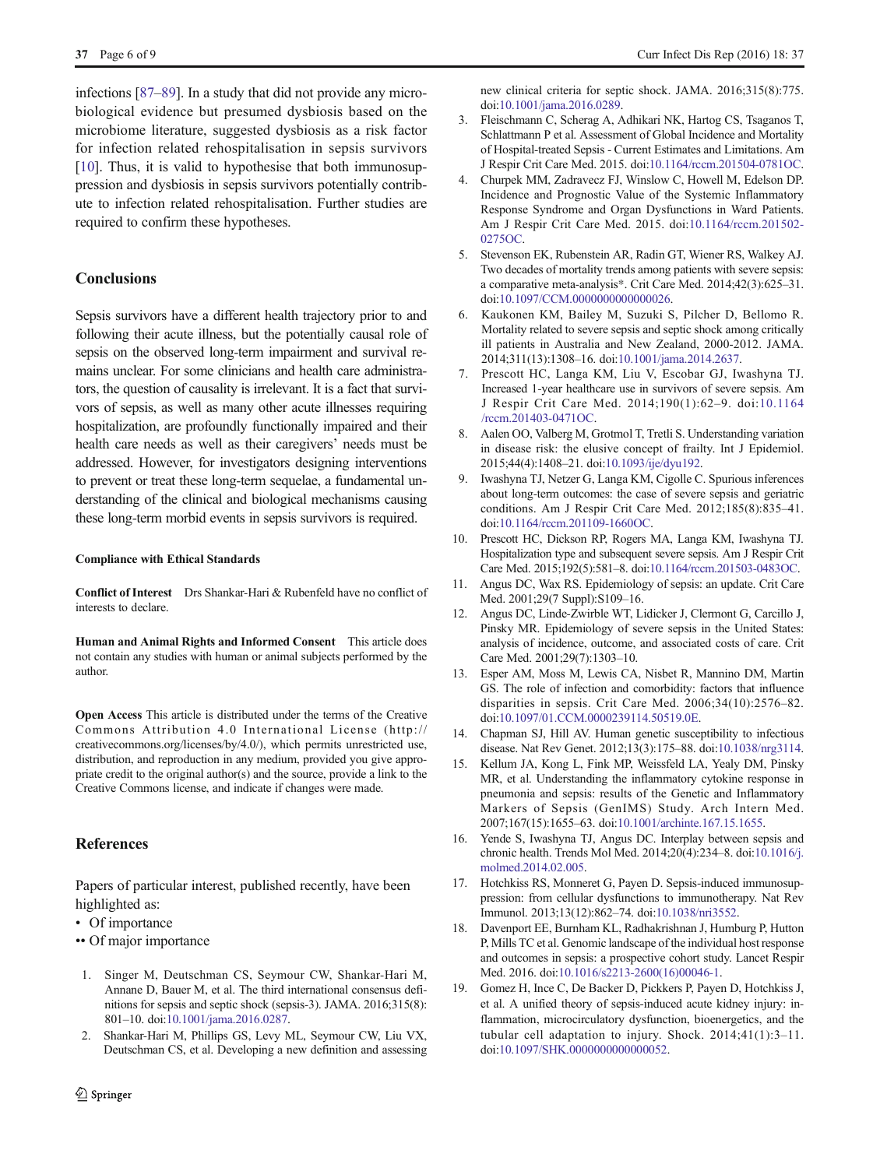<span id="page-6-0"></span>infections [[87](#page-9-0)–[89](#page-9-0)]. In a study that did not provide any microbiological evidence but presumed dysbiosis based on the microbiome literature, suggested dysbiosis as a risk factor for infection related rehospitalisation in sepsis survivors [10]. Thus, it is valid to hypothesise that both immunosuppression and dysbiosis in sepsis survivors potentially contribute to infection related rehospitalisation. Further studies are required to confirm these hypotheses.

# **Conclusions**

Sepsis survivors have a different health trajectory prior to and following their acute illness, but the potentially causal role of sepsis on the observed long-term impairment and survival remains unclear. For some clinicians and health care administrators, the question of causality is irrelevant. It is a fact that survivors of sepsis, as well as many other acute illnesses requiring hospitalization, are profoundly functionally impaired and their health care needs as well as their caregivers' needs must be addressed. However, for investigators designing interventions to prevent or treat these long-term sequelae, a fundamental understanding of the clinical and biological mechanisms causing these long-term morbid events in sepsis survivors is required.

#### Compliance with Ethical Standards

Conflict of Interest Drs Shankar-Hari & Rubenfeld have no conflict of interests to declare.

Human and Animal Rights and Informed Consent This article does not contain any studies with human or animal subjects performed by the author.

Open Access This article is distributed under the terms of the Creative Commons Attribution 4.0 International License (http:// creativecommons.org/licenses/by/4.0/), which permits unrestricted use, distribution, and reproduction in any medium, provided you give appropriate credit to the original author(s) and the source, provide a link to the Creative Commons license, and indicate if changes were made.

### **References**

Papers of particular interest, published recently, have been highlighted as:

- Of importance
- •• Of major importance
- 1. Singer M, Deutschman CS, Seymour CW, Shankar-Hari M, Annane D, Bauer M, et al. The third international consensus definitions for sepsis and septic shock (sepsis-3). JAMA. 2016;315(8): 801–10. doi:[10.1001/jama.2016.0287.](http://dx.doi.org/10.1001/jama.2016.0287)
- 2. Shankar-Hari M, Phillips GS, Levy ML, Seymour CW, Liu VX, Deutschman CS, et al. Developing a new definition and assessing

new clinical criteria for septic shock. JAMA. 2016;315(8):775. doi[:10.1001/jama.2016.0289.](http://dx.doi.org/10.1001/jama.2016.0289)

- 3. Fleischmann C, Scherag A, Adhikari NK, Hartog CS, Tsaganos T, Schlattmann P et al. Assessment of Global Incidence and Mortality of Hospital-treated Sepsis - Current Estimates and Limitations. Am J Respir Crit Care Med. 2015. doi:[10.1164/rccm.201504-0781OC](http://dx.doi.org/10.1164/rccm.201504-0781OC).
- 4. Churpek MM, Zadravecz FJ, Winslow C, Howell M, Edelson DP. Incidence and Prognostic Value of the Systemic Inflammatory Response Syndrome and Organ Dysfunctions in Ward Patients. Am J Respir Crit Care Med. 2015. doi:[10.1164/rccm.201502-](http://dx.doi.org/10.1164/rccm.201502-0275OC) [0275OC](http://dx.doi.org/10.1164/rccm.201502-0275OC).
- 5. Stevenson EK, Rubenstein AR, Radin GT, Wiener RS, Walkey AJ. Two decades of mortality trends among patients with severe sepsis: a comparative meta-analysis\*. Crit Care Med. 2014;42(3):625–31. doi[:10.1097/CCM.0000000000000026.](http://dx.doi.org/10.1097/CCM.0000000000000026)
- 6. Kaukonen KM, Bailey M, Suzuki S, Pilcher D, Bellomo R. Mortality related to severe sepsis and septic shock among critically ill patients in Australia and New Zealand, 2000-2012. JAMA. 2014;311(13):1308–16. doi[:10.1001/jama.2014.2637](http://dx.doi.org/10.1001/jama.2014.2637).
- 7. Prescott HC, Langa KM, Liu V, Escobar GJ, Iwashyna TJ. Increased 1-year healthcare use in survivors of severe sepsis. Am J Respir Crit Care Med. 2014;190(1):62–9. doi:[10.1164](http://dx.doi.org/10.1164/rccm.201403-0471OC) [/rccm.201403-0471OC](http://dx.doi.org/10.1164/rccm.201403-0471OC).
- 8. Aalen OO, Valberg M, Grotmol T, Tretli S. Understanding variation in disease risk: the elusive concept of frailty. Int J Epidemiol. 2015;44(4):1408–21. doi[:10.1093/ije/dyu192.](http://dx.doi.org/10.1093/ije/dyu192)
- 9. Iwashyna TJ, Netzer G, Langa KM, Cigolle C. Spurious inferences about long-term outcomes: the case of severe sepsis and geriatric conditions. Am J Respir Crit Care Med. 2012;185(8):835–41. doi[:10.1164/rccm.201109-1660OC](http://dx.doi.org/10.1164/rccm.201109-1660OC).
- 10. Prescott HC, Dickson RP, Rogers MA, Langa KM, Iwashyna TJ. Hospitalization type and subsequent severe sepsis. Am J Respir Crit Care Med. 2015;192(5):581–8. doi:[10.1164/rccm.201503-0483OC.](http://dx.doi.org/10.1164/rccm.201503-0483OC)
- 11. Angus DC, Wax RS. Epidemiology of sepsis: an update. Crit Care Med. 2001;29(7 Suppl):S109–16.
- 12. Angus DC, Linde-Zwirble WT, Lidicker J, Clermont G, Carcillo J, Pinsky MR. Epidemiology of severe sepsis in the United States: analysis of incidence, outcome, and associated costs of care. Crit Care Med. 2001;29(7):1303–10.
- 13. Esper AM, Moss M, Lewis CA, Nisbet R, Mannino DM, Martin GS. The role of infection and comorbidity: factors that influence disparities in sepsis. Crit Care Med. 2006;34(10):2576–82. doi[:10.1097/01.CCM.0000239114.50519.0E.](http://dx.doi.org/10.1097/01.CCM.0000239114.50519.0E)
- 14. Chapman SJ, Hill AV. Human genetic susceptibility to infectious disease. Nat Rev Genet. 2012;13(3):175–88. doi[:10.1038/nrg3114](http://dx.doi.org/10.1038/nrg3114).
- 15. Kellum JA, Kong L, Fink MP, Weissfeld LA, Yealy DM, Pinsky MR, et al. Understanding the inflammatory cytokine response in pneumonia and sepsis: results of the Genetic and Inflammatory Markers of Sepsis (GenIMS) Study. Arch Intern Med. 2007;167(15):1655–63. doi[:10.1001/archinte.167.15.1655](http://dx.doi.org/10.1001/archinte.167.15.1655).
- 16. Yende S, Iwashyna TJ, Angus DC. Interplay between sepsis and chronic health. Trends Mol Med. 2014;20(4):234–8. doi:[10.1016/j.](http://dx.doi.org/10.1016/j.molmed.2014.02.005) [molmed.2014.02.005](http://dx.doi.org/10.1016/j.molmed.2014.02.005).
- 17. Hotchkiss RS, Monneret G, Payen D. Sepsis-induced immunosuppression: from cellular dysfunctions to immunotherapy. Nat Rev Immunol. 2013;13(12):862–74. doi[:10.1038/nri3552.](http://dx.doi.org/10.1038/nri3552)
- 18. Davenport EE, Burnham KL, Radhakrishnan J, Humburg P, Hutton P, Mills TC et al. Genomic landscape of the individual host response and outcomes in sepsis: a prospective cohort study. Lancet Respir Med. 2016. doi[:10.1016/s2213-2600\(16\)00046-1](http://dx.doi.org/10.1016/s2213-2600(16)00046-1).
- 19. Gomez H, Ince C, De Backer D, Pickkers P, Payen D, Hotchkiss J, et al. A unified theory of sepsis-induced acute kidney injury: inflammation, microcirculatory dysfunction, bioenergetics, and the tubular cell adaptation to injury. Shock. 2014;41(1):3–11. doi[:10.1097/SHK.0000000000000052.](http://dx.doi.org/10.1097/SHK.0000000000000052)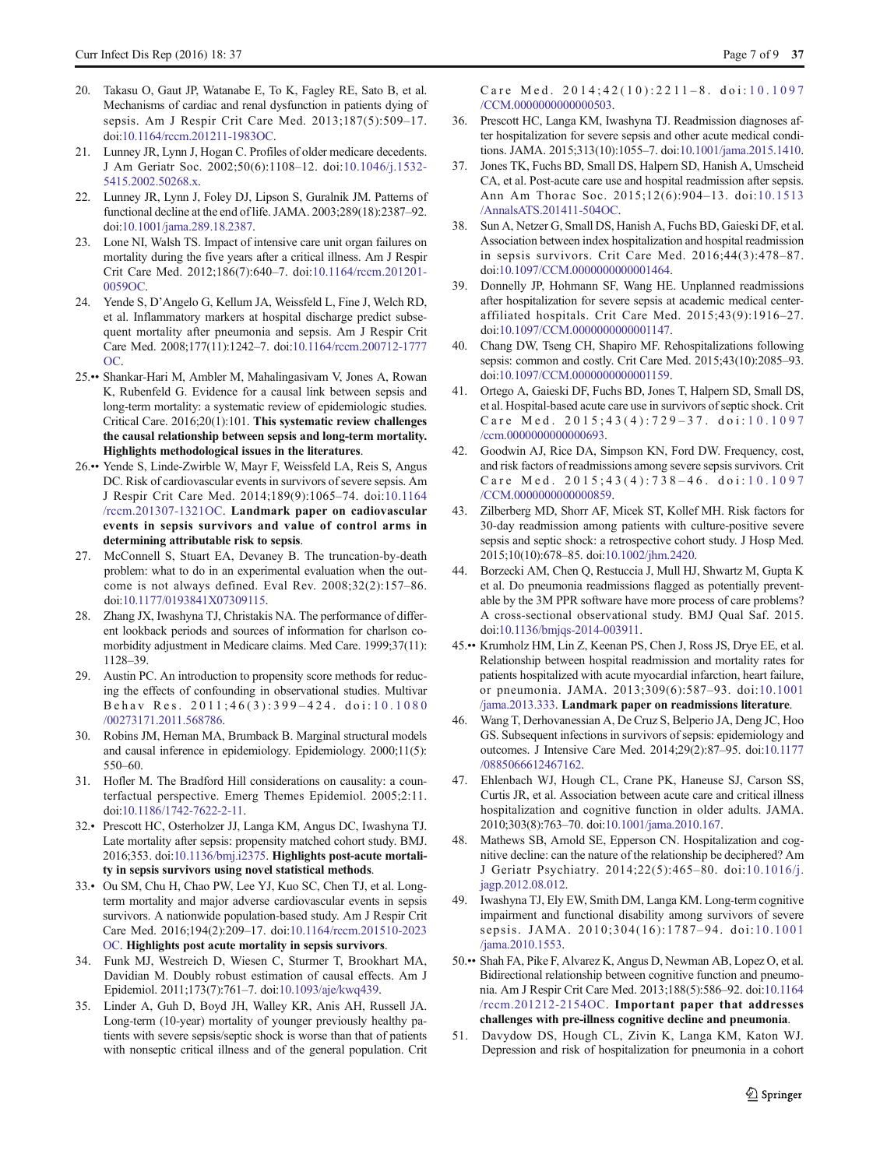- <span id="page-7-0"></span>20. Takasu O, Gaut JP, Watanabe E, To K, Fagley RE, Sato B, et al. Mechanisms of cardiac and renal dysfunction in patients dying of sepsis. Am J Respir Crit Care Med. 2013;187(5):509–17. doi:[10.1164/rccm.201211-1983OC](http://dx.doi.org/10.1164/rccm.201211-1983OC).
- 21. Lunney JR, Lynn J, Hogan C. Profiles of older medicare decedents. J Am Geriatr Soc. 2002;50(6):1108–12. doi:[10.1046/j.1532-](http://dx.doi.org/10.1046/j.1532-5415.2002.50268.x) [5415.2002.50268.x](http://dx.doi.org/10.1046/j.1532-5415.2002.50268.x).
- 22. Lunney JR, Lynn J, Foley DJ, Lipson S, Guralnik JM. Patterns of functional decline at the end of life. JAMA. 2003;289(18):2387–92. doi:[10.1001/jama.289.18.2387.](http://dx.doi.org/10.1001/jama.289.18.2387)
- 23. Lone NI, Walsh TS. Impact of intensive care unit organ failures on mortality during the five years after a critical illness. Am J Respir Crit Care Med. 2012;186(7):640–7. doi:[10.1164/rccm.201201-](http://dx.doi.org/10.1164/rccm.201201-0059OC) [0059OC](http://dx.doi.org/10.1164/rccm.201201-0059OC).
- 24. Yende S, D'Angelo G, Kellum JA, Weissfeld L, Fine J, Welch RD, et al. Inflammatory markers at hospital discharge predict subsequent mortality after pneumonia and sepsis. Am J Respir Crit Care Med. 2008;177(11):1242–7. doi[:10.1164/rccm.200712-1777](http://dx.doi.org/10.1164/rccm.200712-1777OC) [OC.](http://dx.doi.org/10.1164/rccm.200712-1777OC)
- 25.•• Shankar-Hari M, Ambler M, Mahalingasivam V, Jones A, Rowan K, Rubenfeld G. Evidence for a causal link between sepsis and long-term mortality: a systematic review of epidemiologic studies. Critical Care. 2016;20(1):101. This systematic review challenges the causal relationship between sepsis and long-term mortality. Highlights methodological issues in the literatures.
- 26.•• Yende S, Linde-Zwirble W, Mayr F, Weissfeld LA, Reis S, Angus DC. Risk of cardiovascular events in survivors of severe sepsis. Am J Respir Crit Care Med. 2014;189(9):1065–74. doi:[10.1164](http://dx.doi.org/10.1164/rccm.201307-1321OC) [/rccm.201307-1321OC.](http://dx.doi.org/10.1164/rccm.201307-1321OC) Landmark paper on cadiovascular events in sepsis survivors and value of control arms in determining attributable risk to sepsis.
- 27. McConnell S, Stuart EA, Devaney B. The truncation-by-death problem: what to do in an experimental evaluation when the outcome is not always defined. Eval Rev. 2008;32(2):157–86. doi[:10.1177/0193841X07309115.](http://dx.doi.org/10.1177/0193841X07309115)
- 28. Zhang JX, Iwashyna TJ, Christakis NA. The performance of different lookback periods and sources of information for charlson comorbidity adjustment in Medicare claims. Med Care. 1999;37(11): 1128–39.
- 29. Austin PC. An introduction to propensity score methods for reducing the effects of confounding in observational studies. Multivar Behav Res. 2011;46(3):399 – 424. doi: [10.1080](http://dx.doi.org/10.1080/00273171.2011.568786) [/00273171.2011.568786](http://dx.doi.org/10.1080/00273171.2011.568786).
- 30. Robins JM, Hernan MA, Brumback B. Marginal structural models and causal inference in epidemiology. Epidemiology. 2000;11(5): 550–60.
- 31. Hofler M. The Bradford Hill considerations on causality: a counterfactual perspective. Emerg Themes Epidemiol. 2005;2:11. doi:[10.1186/1742-7622-2-11.](http://dx.doi.org/10.1186/1742-7622-2-11)
- 32.• Prescott HC, Osterholzer JJ, Langa KM, Angus DC, Iwashyna TJ. Late mortality after sepsis: propensity matched cohort study. BMJ. 2016;353. doi:[10.1136/bmj.i2375.](http://dx.doi.org/10.1136/bmj.i2375) Highlights post-acute mortality in sepsis survivors using novel statistical methods.
- 33.• Ou SM, Chu H, Chao PW, Lee YJ, Kuo SC, Chen TJ, et al. Longterm mortality and major adverse cardiovascular events in sepsis survivors. A nationwide population-based study. Am J Respir Crit Care Med. 2016;194(2):209–17. doi[:10.1164/rccm.201510-2023](http://dx.doi.org/10.1164/rccm.201510-2023OC) [OC](http://dx.doi.org/10.1164/rccm.201510-2023OC). Highlights post acute mortality in sepsis survivors.
- 34. Funk MJ, Westreich D, Wiesen C, Sturmer T, Brookhart MA, Davidian M. Doubly robust estimation of causal effects. Am J Epidemiol. 2011;173(7):761–7. doi[:10.1093/aje/kwq439](http://dx.doi.org/10.1093/aje/kwq439).
- 35. Linder A, Guh D, Boyd JH, Walley KR, Anis AH, Russell JA. Long-term (10-year) mortality of younger previously healthy patients with severe sepsis/septic shock is worse than that of patients with nonseptic critical illness and of the general population. Crit

Care Med. 2014;42(10):2211-8. doi:[10.1097](http://dx.doi.org/10.1097/CCM.0000000000000503) [/CCM.0000000000000503](http://dx.doi.org/10.1097/CCM.0000000000000503).

- 36. Prescott HC, Langa KM, Iwashyna TJ. Readmission diagnoses after hospitalization for severe sepsis and other acute medical conditions. JAMA. 2015;313(10):1055–7. doi[:10.1001/jama.2015.1410](http://dx.doi.org/10.1001/jama.2015.1410).
- Jones TK, Fuchs BD, Small DS, Halpern SD, Hanish A, Umscheid CA, et al. Post-acute care use and hospital readmission after sepsis. Ann Am Thorac Soc. 2015;12(6):904–13. doi:[10.1513](http://dx.doi.org/10.1513/AnnalsATS.201411-504OC) [/AnnalsATS.201411-504OC](http://dx.doi.org/10.1513/AnnalsATS.201411-504OC).
- 38. Sun A, Netzer G, Small DS, Hanish A, Fuchs BD, Gaieski DF, et al. Association between index hospitalization and hospital readmission in sepsis survivors. Crit Care Med. 2016;44(3):478–87. doi[:10.1097/CCM.0000000000001464.](http://dx.doi.org/10.1097/CCM.0000000000001464)
- 39. Donnelly JP, Hohmann SF, Wang HE. Unplanned readmissions after hospitalization for severe sepsis at academic medical centeraffiliated hospitals. Crit Care Med. 2015;43(9):1916–27. doi[:10.1097/CCM.0000000000001147](http://dx.doi.org/10.1097/CCM.0000000000001147).
- 40. Chang DW, Tseng CH, Shapiro MF. Rehospitalizations following sepsis: common and costly. Crit Care Med. 2015;43(10):2085–93. doi[:10.1097/CCM.0000000000001159](http://dx.doi.org/10.1097/CCM.0000000000001159).
- 41. Ortego A, Gaieski DF, Fuchs BD, Jones T, Halpern SD, Small DS, et al. Hospital-based acute care use in survivors of septic shock. Crit Care Med. 2015;43(4):729-37. doi:[10.1097](http://dx.doi.org/10.1097/ccm.0000000000000693) [/ccm.0000000000000693](http://dx.doi.org/10.1097/ccm.0000000000000693).
- 42. Goodwin AJ, Rice DA, Simpson KN, Ford DW. Frequency, cost, and risk factors of readmissions among severe sepsis survivors. Crit Care Med. 2015;43(4):738-46. doi:[10.1097](http://dx.doi.org/10.1097/CCM.0000000000000859) [/CCM.0000000000000859](http://dx.doi.org/10.1097/CCM.0000000000000859).
- 43. Zilberberg MD, Shorr AF, Micek ST, Kollef MH. Risk factors for 30-day readmission among patients with culture-positive severe sepsis and septic shock: a retrospective cohort study. J Hosp Med. 2015;10(10):678–85. doi:[10.1002/jhm.2420](http://dx.doi.org/10.1002/jhm.2420).
- 44. Borzecki AM, Chen Q, Restuccia J, Mull HJ, Shwartz M, Gupta K et al. Do pneumonia readmissions flagged as potentially preventable by the 3M PPR software have more process of care problems? A cross-sectional observational study. BMJ Qual Saf. 2015. doi[:10.1136/bmjqs-2014-003911](http://dx.doi.org/10.1136/bmjqs-2014-003911).
- 45.•• Krumholz HM, Lin Z, Keenan PS, Chen J, Ross JS, Drye EE, et al. Relationship between hospital readmission and mortality rates for patients hospitalized with acute myocardial infarction, heart failure, or pneumonia. JAMA. 2013;309(6):587–93. doi:[10.1001](http://dx.doi.org/10.1001/jama.2013.333) [/jama.2013.333.](http://dx.doi.org/10.1001/jama.2013.333) Landmark paper on readmissions literature.
- 46. Wang T, Derhovanessian A, De Cruz S, Belperio JA, Deng JC, Hoo GS. Subsequent infections in survivors of sepsis: epidemiology and outcomes. J Intensive Care Med. 2014;29(2):87–95. doi[:10.1177](http://dx.doi.org/10.1177/0885066612467162) [/0885066612467162.](http://dx.doi.org/10.1177/0885066612467162)
- 47. Ehlenbach WJ, Hough CL, Crane PK, Haneuse SJ, Carson SS, Curtis JR, et al. Association between acute care and critical illness hospitalization and cognitive function in older adults. JAMA. 2010;303(8):763–70. doi:[10.1001/jama.2010.167.](http://dx.doi.org/10.1001/jama.2010.167)
- 48. Mathews SB, Arnold SE, Epperson CN. Hospitalization and cognitive decline: can the nature of the relationship be deciphered? Am J Geriatr Psychiatry. 2014;22(5):465–80. doi:[10.1016/j.](http://dx.doi.org/10.1016/j.jagp.2012.08.012) [jagp.2012.08.012.](http://dx.doi.org/10.1016/j.jagp.2012.08.012)
- 49. Iwashyna TJ, Ely EW, Smith DM, Langa KM. Long-term cognitive impairment and functional disability among survivors of severe sepsis. JAMA. 2010;304(16):1787–94. doi:[10.1001](http://dx.doi.org/10.1001/jama.2010.1553) [/jama.2010.1553](http://dx.doi.org/10.1001/jama.2010.1553).
- 50.•• Shah FA, Pike F, Alvarez K, Angus D, Newman AB, Lopez O, et al. Bidirectional relationship between cognitive function and pneumonia. Am J Respir Crit Care Med. 2013;188(5):586–92. doi:[10.1164](http://dx.doi.org/10.1164/rccm.201212-2154OC) [/rccm.201212-2154OC](http://dx.doi.org/10.1164/rccm.201212-2154OC). Important paper that addresses challenges with pre-illness cognitive decline and pneumonia.
- 51. Davydow DS, Hough CL, Zivin K, Langa KM, Katon WJ. Depression and risk of hospitalization for pneumonia in a cohort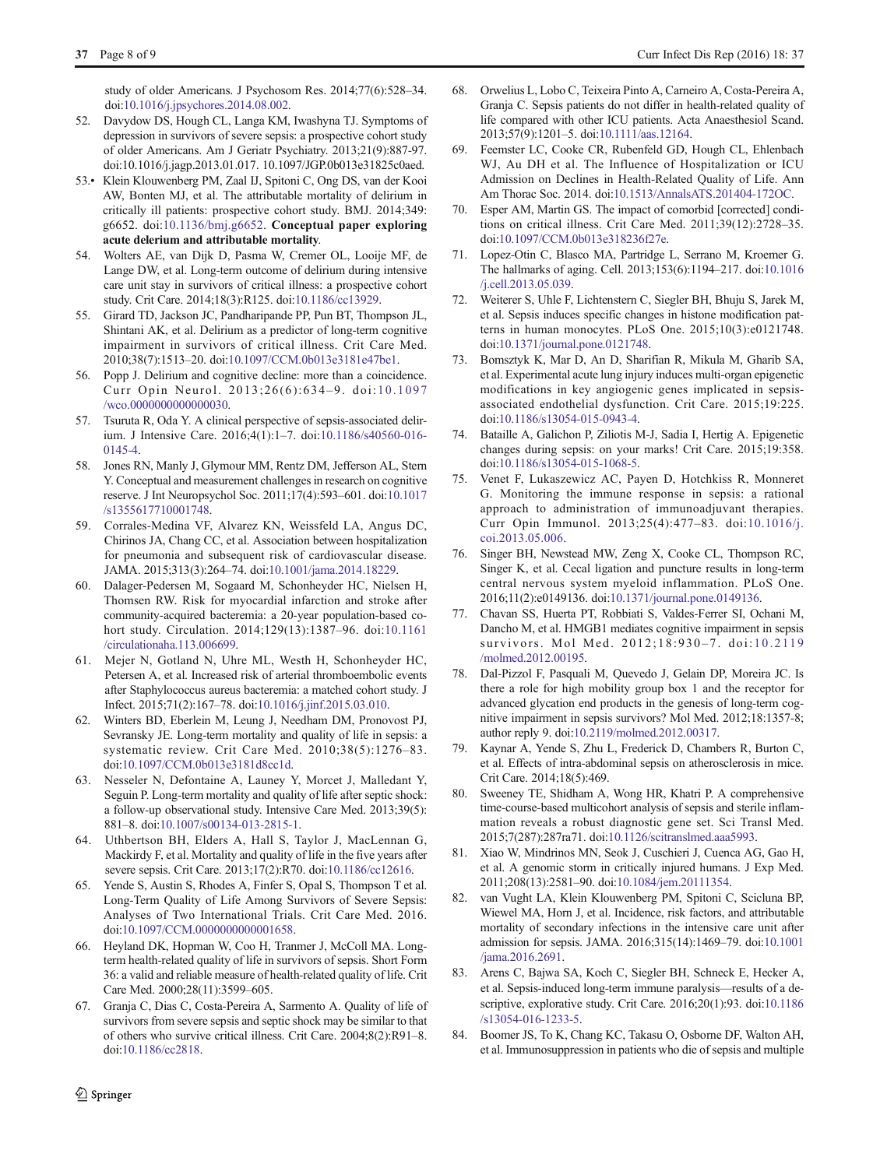<span id="page-8-0"></span>study of older Americans. J Psychosom Res. 2014;77(6):528–34. doi:[10.1016/j.jpsychores.2014.08.002](http://dx.doi.org/10.1016/j.jpsychores.2014.08.002).

- 52. Davydow DS, Hough CL, Langa KM, Iwashyna TJ. Symptoms of depression in survivors of severe sepsis: a prospective cohort study of older Americans. Am J Geriatr Psychiatry. 2013;21(9):887-97. doi:10.1016/j.jagp.2013.01.017. 10.1097/JGP.0b013e31825c0aed.
- 53.• Klein Klouwenberg PM, Zaal IJ, Spitoni C, Ong DS, van der Kooi AW, Bonten MJ, et al. The attributable mortality of delirium in critically ill patients: prospective cohort study. BMJ. 2014;349: g6652. doi[:10.1136/bmj.g6652](http://dx.doi.org/10.1136/bmj.g6652). Conceptual paper exploring acute delerium and attributable mortality.
- 54. Wolters AE, van Dijk D, Pasma W, Cremer OL, Looije MF, de Lange DW, et al. Long-term outcome of delirium during intensive care unit stay in survivors of critical illness: a prospective cohort study. Crit Care. 2014;18(3):R125. doi:[10.1186/cc13929](http://dx.doi.org/10.1186/cc13929).
- 55. Girard TD, Jackson JC, Pandharipande PP, Pun BT, Thompson JL, Shintani AK, et al. Delirium as a predictor of long-term cognitive impairment in survivors of critical illness. Crit Care Med. 2010;38(7):1513–20. doi:[10.1097/CCM.0b013e3181e47be1.](http://dx.doi.org/10.1097/CCM.0b013e3181e47be1)
- 56. Popp J. Delirium and cognitive decline: more than a coincidence. Curr Opin Neurol. 2013;26(6):634–9. doi:[10.1097](http://dx.doi.org/10.1097/wco.0000000000000030) [/wco.0000000000000030](http://dx.doi.org/10.1097/wco.0000000000000030).
- 57. Tsuruta R, Oda Y. A clinical perspective of sepsis-associated delirium. J Intensive Care. 2016;4(1):1–7. doi:[10.1186/s40560-016-](http://dx.doi.org/10.1186/s40560-016-0145-4) [0145-4](http://dx.doi.org/10.1186/s40560-016-0145-4).
- 58. Jones RN, Manly J, Glymour MM, Rentz DM, Jefferson AL, Stern Y. Conceptual and measurement challenges in research on cognitive reserve. J Int Neuropsychol Soc. 2011;17(4):593–601. doi[:10.1017](http://dx.doi.org/10.1017/s1355617710001748) [/s1355617710001748.](http://dx.doi.org/10.1017/s1355617710001748)
- 59. Corrales-Medina VF, Alvarez KN, Weissfeld LA, Angus DC, Chirinos JA, Chang CC, et al. Association between hospitalization for pneumonia and subsequent risk of cardiovascular disease. JAMA. 2015;313(3):264–74. doi[:10.1001/jama.2014.18229](http://dx.doi.org/10.1001/jama.2014.18229).
- 60. Dalager-Pedersen M, Sogaard M, Schonheyder HC, Nielsen H, Thomsen RW. Risk for myocardial infarction and stroke after community-acquired bacteremia: a 20-year population-based cohort study. Circulation. 2014;129(13):1387–96. doi:[10.1161](http://dx.doi.org/10.1161/circulationaha.113.006699) [/circulationaha.113.006699](http://dx.doi.org/10.1161/circulationaha.113.006699).
- 61. Mejer N, Gotland N, Uhre ML, Westh H, Schonheyder HC, Petersen A, et al. Increased risk of arterial thromboembolic events after Staphylococcus aureus bacteremia: a matched cohort study. J Infect. 2015;71(2):167–78. doi[:10.1016/j.jinf.2015.03.010.](http://dx.doi.org/10.1016/j.jinf.2015.03.010)
- 62. Winters BD, Eberlein M, Leung J, Needham DM, Pronovost PJ, Sevransky JE. Long-term mortality and quality of life in sepsis: a systematic review. Crit Care Med. 2010;38(5):1276–83. doi:[10.1097/CCM.0b013e3181d8cc1d.](http://dx.doi.org/10.1097/CCM.0b013e3181d8cc1d)
- 63. Nesseler N, Defontaine A, Launey Y, Morcet J, Malledant Y, Seguin P. Long-term mortality and quality of life after septic shock: a follow-up observational study. Intensive Care Med. 2013;39(5): 881–8. doi[:10.1007/s00134-013-2815-1](http://dx.doi.org/10.1007/s00134-013-2815-1).
- 64. Uthbertson BH, Elders A, Hall S, Taylor J, MacLennan G, Mackirdy F, et al. Mortality and quality of life in the five years after severe sepsis. Crit Care. 2013;17(2):R70. doi:[10.1186/cc12616](http://dx.doi.org/10.1186/cc12616).
- 65. Yende S, Austin S, Rhodes A, Finfer S, Opal S, Thompson T et al. Long-Term Quality of Life Among Survivors of Severe Sepsis: Analyses of Two International Trials. Crit Care Med. 2016. doi:[10.1097/CCM.0000000000001658](http://dx.doi.org/10.1097/CCM.0000000000001658).
- 66. Heyland DK, Hopman W, Coo H, Tranmer J, McColl MA. Longterm health-related quality of life in survivors of sepsis. Short Form 36: a valid and reliable measure of health-related quality of life. Crit Care Med. 2000;28(11):3599–605.
- 67. Granja C, Dias C, Costa-Pereira A, Sarmento A. Quality of life of survivors from severe sepsis and septic shock may be similar to that of others who survive critical illness. Crit Care. 2004;8(2):R91–8. doi:[10.1186/cc2818](http://dx.doi.org/10.1186/cc2818).
- 68. Orwelius L, Lobo C, Teixeira Pinto A, Carneiro A, Costa-Pereira A, Granja C. Sepsis patients do not differ in health-related quality of life compared with other ICU patients. Acta Anaesthesiol Scand. 2013;57(9):1201–5. doi:[10.1111/aas.12164.](http://dx.doi.org/10.1111/aas.12164)
- 69. Feemster LC, Cooke CR, Rubenfeld GD, Hough CL, Ehlenbach WJ, Au DH et al. The Influence of Hospitalization or ICU Admission on Declines in Health-Related Quality of Life. Ann Am Thorac Soc. 2014. doi[:10.1513/AnnalsATS.201404-172OC.](http://dx.doi.org/10.1513/AnnalsATS.201404-172OC)
- 70. Esper AM, Martin GS. The impact of comorbid [corrected] conditions on critical illness. Crit Care Med. 2011;39(12):2728–35. doi[:10.1097/CCM.0b013e318236f27e.](http://dx.doi.org/10.1097/CCM.0b013e318236f27e)
- 71. Lopez-Otin C, Blasco MA, Partridge L, Serrano M, Kroemer G. The hallmarks of aging. Cell. 2013;153(6):1194–217. doi[:10.1016](http://dx.doi.org/10.1016/j.cell.2013.05.039) [/j.cell.2013.05.039](http://dx.doi.org/10.1016/j.cell.2013.05.039).
- 72. Weiterer S, Uhle F, Lichtenstern C, Siegler BH, Bhuju S, Jarek M, et al. Sepsis induces specific changes in histone modification patterns in human monocytes. PLoS One. 2015;10(3):e0121748. doi[:10.1371/journal.pone.0121748.](http://dx.doi.org/10.1371/journal.pone.0121748)
- 73. Bomsztyk K, Mar D, An D, Sharifian R, Mikula M, Gharib SA, et al. Experimental acute lung injury induces multi-organ epigenetic modifications in key angiogenic genes implicated in sepsisassociated endothelial dysfunction. Crit Care. 2015;19:225. doi[:10.1186/s13054-015-0943-4](http://dx.doi.org/10.1186/s13054-015-0943-4).
- 74. Bataille A, Galichon P, Ziliotis M-J, Sadia I, Hertig A. Epigenetic changes during sepsis: on your marks! Crit Care. 2015;19:358. doi[:10.1186/s13054-015-1068-5](http://dx.doi.org/10.1186/s13054-015-1068-5).
- 75. Venet F, Lukaszewicz AC, Payen D, Hotchkiss R, Monneret G. Monitoring the immune response in sepsis: a rational approach to administration of immunoadjuvant therapies. Curr Opin Immunol. 2013;25(4):477–83. doi:[10.1016/j.](http://dx.doi.org/10.1016/j.coi.2013.05.006) [coi.2013.05.006](http://dx.doi.org/10.1016/j.coi.2013.05.006).
- 76. Singer BH, Newstead MW, Zeng X, Cooke CL, Thompson RC, Singer K, et al. Cecal ligation and puncture results in long-term central nervous system myeloid inflammation. PLoS One. 2016;11(2):e0149136. doi[:10.1371/journal.pone.0149136](http://dx.doi.org/10.1371/journal.pone.0149136).
- 77. Chavan SS, Huerta PT, Robbiati S, Valdes-Ferrer SI, Ochani M, Dancho M, et al. HMGB1 mediates cognitive impairment in sepsis survivors. Mol Med. 2012;18:930-7. doi:[10.2119](http://dx.doi.org/10.2119/molmed.2012.00195) [/molmed.2012.00195.](http://dx.doi.org/10.2119/molmed.2012.00195)
- 78. Dal-Pizzol F, Pasquali M, Quevedo J, Gelain DP, Moreira JC. Is there a role for high mobility group box 1 and the receptor for advanced glycation end products in the genesis of long-term cognitive impairment in sepsis survivors? Mol Med. 2012;18:1357-8; author reply 9. doi[:10.2119/molmed.2012.00317](http://dx.doi.org/10.2119/molmed.2012.00317).
- 79. Kaynar A, Yende S, Zhu L, Frederick D, Chambers R, Burton C, et al. Effects of intra-abdominal sepsis on atherosclerosis in mice. Crit Care. 2014;18(5):469.
- 80. Sweeney TE, Shidham A, Wong HR, Khatri P. A comprehensive time-course-based multicohort analysis of sepsis and sterile inflammation reveals a robust diagnostic gene set. Sci Transl Med. 2015;7(287):287ra71. doi:[10.1126/scitranslmed.aaa5993.](http://dx.doi.org/10.1126/scitranslmed.aaa5993)
- 81. Xiao W, Mindrinos MN, Seok J, Cuschieri J, Cuenca AG, Gao H, et al. A genomic storm in critically injured humans. J Exp Med. 2011;208(13):2581–90. doi:[10.1084/jem.20111354.](http://dx.doi.org/10.1084/jem.20111354)
- 82. van Vught LA, Klein Klouwenberg PM, Spitoni C, Scicluna BP, Wiewel MA, Horn J, et al. Incidence, risk factors, and attributable mortality of secondary infections in the intensive care unit after admission for sepsis. JAMA. 2016;315(14):1469–79. doi[:10.1001](http://dx.doi.org/10.1001/jama.2016.2691) [/jama.2016.2691](http://dx.doi.org/10.1001/jama.2016.2691).
- 83. Arens C, Bajwa SA, Koch C, Siegler BH, Schneck E, Hecker A, et al. Sepsis-induced long-term immune paralysis—results of a descriptive, explorative study. Crit Care. 2016;20(1):93. doi:[10.1186](http://dx.doi.org/10.1186/s13054-016-1233-5) [/s13054-016-1233-5](http://dx.doi.org/10.1186/s13054-016-1233-5).
- 84. Boomer JS, To K, Chang KC, Takasu O, Osborne DF, Walton AH, et al. Immunosuppression in patients who die of sepsis and multiple